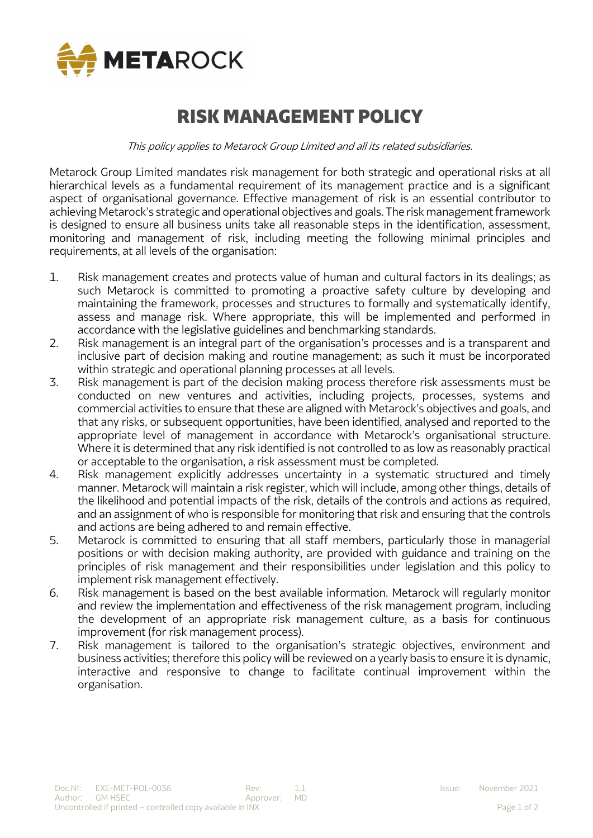

# RISK MANAGEMENT POLICY

This policy applies to Metarock Group Limited and all its related subsidiaries.

Metarock Group Limited mandates risk management for both strategic and operational risks at all hierarchical levels as a fundamental requirement of its management practice and is a significant aspect of organisational governance. Effective management of risk is an essential contributor to achieving Metarock's strategic and operational objectives and goals. The risk management framework is designed to ensure all business units take all reasonable steps in the identification, assessment, monitoring and management of risk, including meeting the following minimal principles and requirements, at all levels of the organisation:

- 1. Risk management creates and protects value of human and cultural factors in its dealings; as such Metarock is committed to promoting a proactive safety culture by developing and maintaining the framework, processes and structures to formally and systematically identify, assess and manage risk. Where appropriate, this will be implemented and performed in accordance with the legislative guidelines and benchmarking standards.
- 2. Risk management is an integral part of the organisation's processes and is a transparent and inclusive part of decision making and routine management; as such it must be incorporated within strategic and operational planning processes at all levels.
- 3. Risk management is part of the decision making process therefore risk assessments must be conducted on new ventures and activities, including projects, processes, systems and commercial activities to ensure that these are aligned with Metarock's objectives and goals, and that any risks, or subsequent opportunities, have been identified, analysed and reported to the appropriate level of management in accordance with Metarock's organisational structure. Where it is determined that any risk identified is not controlled to as low as reasonably practical or acceptable to the organisation, a risk assessment must be completed.
- 4. Risk management explicitly addresses uncertainty in a systematic structured and timely manner. Metarock will maintain a risk register, which will include, among other things, details of the likelihood and potential impacts of the risk, details of the controls and actions as required, and an assignment of who is responsible for monitoring that risk and ensuring that the controls and actions are being adhered to and remain effective.
- 5. Metarock is committed to ensuring that all staff members, particularly those in managerial positions or with decision making authority, are provided with guidance and training on the principles of risk management and their responsibilities under legislation and this policy to implement risk management effectively.
- 6. Risk management is based on the best available information. Metarock will regularly monitor and review the implementation and effectiveness of the risk management program, including the development of an appropriate risk management culture, as a basis for continuous improvement (for risk management process).
- 7. Risk management is tailored to the organisation's strategic objectives, environment and business activities; therefore this policy will be reviewed on a yearly basis to ensure it is dynamic, interactive and responsive to change to facilitate continual improvement within the organisation.